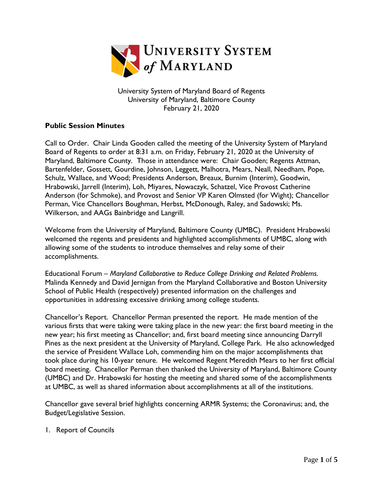

University System of Maryland Board of Regents University of Maryland, Baltimore County February 21, 2020

## **Public Session Minutes**

Call to Order. Chair Linda Gooden called the meeting of the University System of Maryland Board of Regents to order at 8:31 a.m. on Friday, February 21, 2020 at the University of Maryland, Baltimore County. Those in attendance were: Chair Gooden; Regents Attman, Bartenfelder, Gossett, Gourdine, Johnson, Leggett, Malhotra, Mears, Neall, Needham, Pope, Schulz, Wallace, and Wood; Presidents Anderson, Breaux, Burnim (Interim), Goodwin, Hrabowski, Jarrell (Interim), Loh, Miyares, Nowaczyk, Schatzel, Vice Provost Catherine Anderson (for Schmoke), and Provost and Senior VP Karen Olmsted (for Wight); Chancellor Perman, Vice Chancellors Boughman, Herbst, McDonough, Raley, and Sadowski; Ms. Wilkerson, and AAGs Bainbridge and Langrill.

Welcome from the University of Maryland, Baltimore County (UMBC). President Hrabowski welcomed the regents and presidents and highlighted accomplishments of UMBC, along with allowing some of the students to introduce themselves and relay some of their accomplishments.

Educational Forum – *Maryland Collaborative to Reduce College Drinking and Related Problems*. Malinda Kennedy and David Jernigan from the Maryland Collaborative and Boston University School of Public Health (respectively) presented information on the challenges and opportunities in addressing excessive drinking among college students.

Chancellor's Report. Chancellor Perman presented the report. He made mention of the various firsts that were taking were taking place in the new year: the first board meeting in the new year; his first meeting as Chancellor; and, first board meeting since announcing Darryll Pines as the next president at the University of Maryland, College Park. He also acknowledged the service of President Wallace Loh, commending him on the major accomplishments that took place during his 10-year tenure. He welcomed Regent Meredith Mears to her first official board meeting. Chancellor Perman then thanked the University of Maryland, Baltimore County (UMBC) and Dr. Hrabowski for hosting the meeting and shared some of the accomplishments at UMBC, as well as shared information about accomplishments at all of the institutions.

Chancellor gave several brief highlights concerning ARMR Systems; the Coronavirus; and, the Budget/Legislative Session.

1. Report of Councils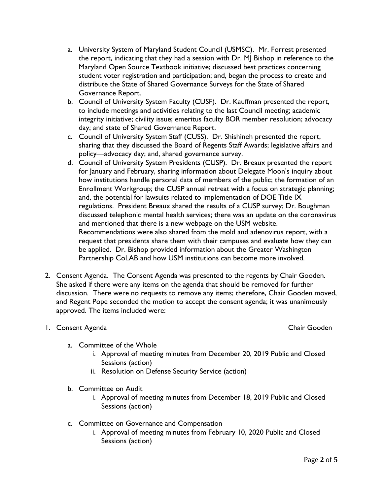- a. University System of Maryland Student Council (USMSC). Mr. Forrest presented the report, indicating that they had a session with Dr. MJ Bishop in reference to the Maryland Open Source Textbook initiative; discussed best practices concerning student voter registration and participation; and, began the process to create and distribute the State of Shared Governance Surveys for the State of Shared Governance Report.
- b. Council of University System Faculty (CUSF). Dr. Kauffman presented the report, to include meetings and activities relating to the last Council meeting; academic integrity initiative; civility issue; emeritus faculty BOR member resolution; advocacy day; and state of Shared Governance Report.
- c. Council of University System Staff (CUSS). Dr. Shishineh presented the report, sharing that they discussed the Board of Regents Staff Awards; legislative affairs and policy—advocacy day; and, shared governance survey.
- d. Council of University System Presidents (CUSP). Dr. Breaux presented the report for January and February, sharing information about Delegate Moon's inquiry about how institutions handle personal data of members of the public; the formation of an Enrollment Workgroup; the CUSP annual retreat with a focus on strategic planning; and, the potential for lawsuits related to implementation of DOE Title IX regulations. President Breaux shared the results of a CUSP survey; Dr. Boughman discussed telephonic mental health services; there was an update on the coronavirus and mentioned that there is a new webpage on the USM website. Recommendations were also shared from the mold and adenovirus report, with a request that presidents share them with their campuses and evaluate how they can be applied. Dr. Bishop provided information about the Greater Washington Partnership CoLAB and how USM institutions can become more involved.
- 2. Consent Agenda. The Consent Agenda was presented to the regents by Chair Gooden. She asked if there were any items on the agenda that should be removed for further discussion. There were no requests to remove any items; therefore, Chair Gooden moved, and Regent Pope seconded the motion to accept the consent agenda; it was unanimously approved. The items included were:

## 1. Consent Agenda Chair Gooden Chair Gooden Chair Gooden Chair Gooden Chair Gooden

- a. Committee of the Whole
	- i. Approval of meeting minutes from December 20, 2019 Public and Closed Sessions (action)
	- ii. Resolution on Defense Security Service (action)
- b. Committee on Audit
	- i. Approval of meeting minutes from December 18, 2019 Public and Closed Sessions (action)
- c. Committee on Governance and Compensation
	- i. Approval of meeting minutes from February 10, 2020 Public and Closed Sessions (action)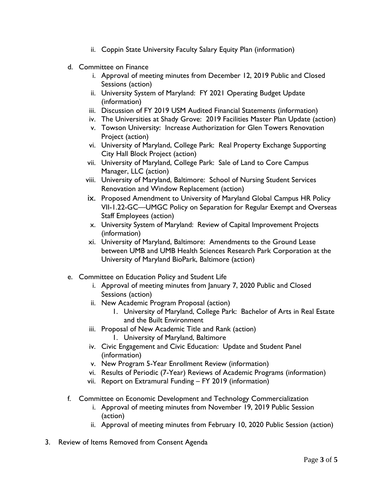- ii. Coppin State University Faculty Salary Equity Plan (information)
- d. Committee on Finance
	- i. Approval of meeting minutes from December 12, 2019 Public and Closed Sessions (action)
	- ii. University System of Maryland: FY 2021 Operating Budget Update (information)
	- iii. Discussion of FY 2019 USM Audited Financial Statements (information)
	- iv. The Universities at Shady Grove: 2019 Facilities Master Plan Update (action)
	- v. Towson University: Increase Authorization for Glen Towers Renovation Project (action)
	- vi. University of Maryland, College Park: Real Property Exchange Supporting City Hall Block Project (action)
	- vii. University of Maryland, College Park: Sale of Land to Core Campus Manager, LLC (action)
	- viii. University of Maryland, Baltimore: School of Nursing Student Services Renovation and Window Replacement (action)
	- ix. Proposed Amendment to University of Maryland Global Campus HR Policy VII-1.22-GC—UMGC Policy on Separation for Regular Exempt and Overseas Staff Employees (action)
	- x. University System of Maryland: Review of Capital Improvement Projects (information)
	- xi. University of Maryland, Baltimore: Amendments to the Ground Lease between UMB and UMB Health Sciences Research Park Corporation at the University of Maryland BioPark, Baltimore (action)
- e. Committee on Education Policy and Student Life
	- i. Approval of meeting minutes from January 7, 2020 Public and Closed Sessions (action)
	- ii. New Academic Program Proposal (action)
		- 1. University of Maryland, College Park: Bachelor of Arts in Real Estate and the Built Environment
	- iii. Proposal of New Academic Title and Rank (action)
		- 1. University of Maryland, Baltimore
	- iv. Civic Engagement and Civic Education: Update and Student Panel (information)
	- v. New Program 5-Year Enrollment Review (information)
	- vi. Results of Periodic (7-Year) Reviews of Academic Programs (information)
	- vii. Report on Extramural Funding FY 2019 (information)
- f. Committee on Economic Development and Technology Commercialization
	- i. Approval of meeting minutes from November 19, 2019 Public Session (action)
	- ii. Approval of meeting minutes from February 10, 2020 Public Session (action)
- 3. Review of Items Removed from Consent Agenda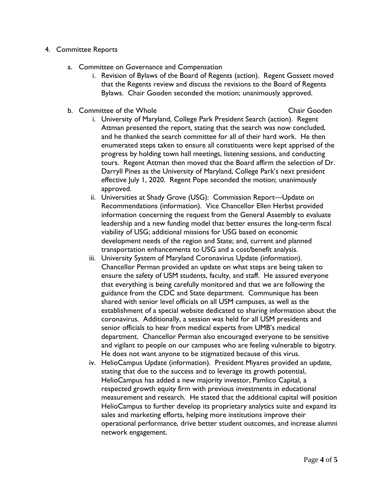## 4. Committee Reports

- a. Committee on Governance and Compensation
	- i. Revision of Bylaws of the Board of Regents (action). Regent Gossett moved that the Regents review and discuss the revisions to the Board of Regents Bylaws. Chair Gooden seconded the motion; unanimously approved.
- b. Committee of the Whole Chair Gooden Chair Gooden

- i. University of Maryland, College Park President Search (action). Regent Attman presented the report, stating that the search was now concluded, and he thanked the search committee for all of their hard work. He then enumerated steps taken to ensure all constituents were kept apprised of the progress by holding town hall meetings, listening sessions, and conducting tours. Regent Attman then moved that the Board affirm the selection of Dr. Darryll Pines as the University of Maryland, College Park's next president effective July 1, 2020. Regent Pope seconded the motion; unanimously approved.
- ii. Universities at Shady Grove (USG): Commission Report—Update on Recommendations (information). Vice Chancellor Ellen Herbst provided information concerning the request from the General Assembly to evaluate leadership and a new funding model that better ensures the long-term fiscal viability of USG; additional missions for USG based on economic development needs of the region and State; and, current and planned transportation enhancements to USG and a cost/benefit analysis.
- iii. University System of Maryland Coronavirus Update (information). Chancellor Perman provided an update on what steps are being taken to ensure the safety of USM students, faculty, and staff. He assured everyone that everything is being carefully monitored and that we are following the guidance from the CDC and State department. Communique has been shared with senior level officials on all USM campuses, as well as the establishment of a special website dedicated to sharing information about the coronavirus. Additionally, a session was held for all USM presidents and senior officials to hear from medical experts from UMB's medical department. Chancellor Perman also encouraged everyone to be sensitive and vigilant to people on our campuses who are feeling vulnerable to bigotry. He does not want anyone to be stigmatized because of this virus.
- iv. HelioCampus Update (information). President Miyares provided an update, stating that due to the success and to leverage its growth potential, HelioCampus has added a new majority investor, Pamlico Capital, a respected growth equity firm with previous investments in educational measurement and research. He stated that the additional capital will position HelioCampus to further develop its proprietary analytics suite and expand its sales and marketing efforts, helping more institutions improve their operational performance, drive better student outcomes, and increase alumni network engagement.